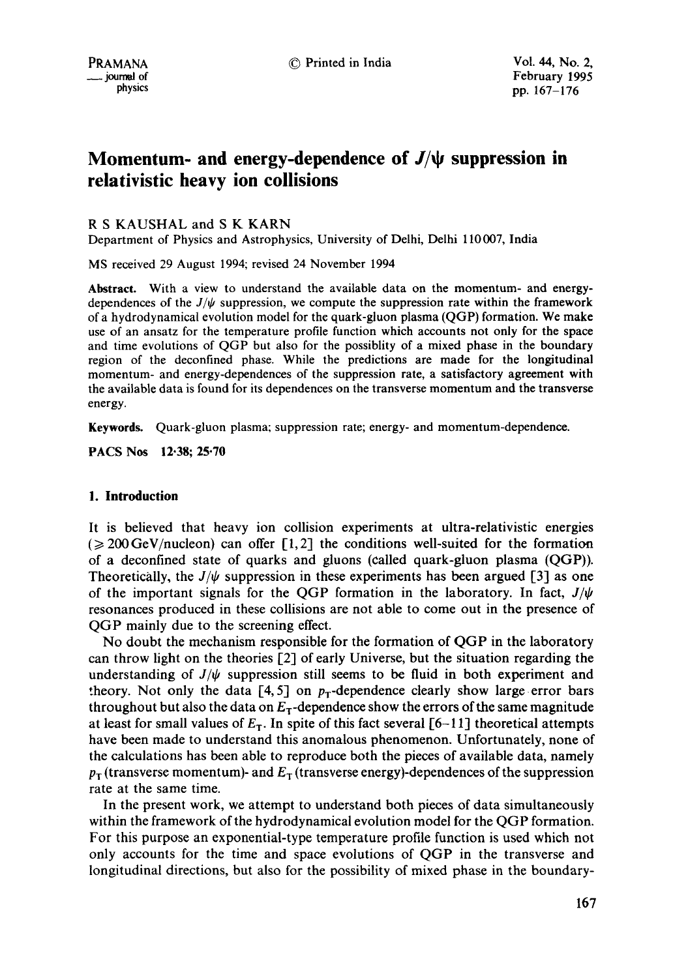# **Momentum- and energy-dependence of**  $J/\psi$  **suppression in relativistic heavy ion collisions**

## R S KAUSHAL and S K KARN

Department of Physics and Astrophysics, University of Delhi, Delhi 110007, India

MS received 29 August 1994; revised 24 November 1994

Abstract. With a view to understand the available data on the momentum- and energydependences of the  $J/\psi$  suppression, we compute the suppression rate within the framework of a hydrodynamical evolution model for the quark-gluon plasma (QGP) formation. We make use of an ansatz for the temperature profile function which accounts not only for the **space**  and time evolutions of QGP but also for the possiblity of a mixed phase in the boundary region of the deconfined phase. While the predictions are made for the longitudinal momentum- and energy-dependences of the suppression rate, a satisfactory agreement with the available data is found for its dependences on the transverse momentum and the **transverse**  energy.

**Keywords.** Quark-gluon plasma; suppression rate; energy- and momentum-dependence.

**PACS Nos 12-38; 25.70** 

## 1. **Introduction**

It is believed that heavy ion collision experiments at ultra-relativistic energies  $\epsilon \geqslant 200$  GeV/nucleon) can offer [1,2] the conditions well-suited for the formation of a deconfined state of quarks and gluons (called quark-gluon plasma (QGP)). Theoretically, the  $J/\psi$  suppression in these experiments has been argued [3] as one of the important signals for the OGP formation in the laboratory. In fact,  $J/\psi$ resonances produced in these collisions are not able to come out in the presence of QGP mainly due to the screening effect.

No doubt the mechanism responsible for the formation of QGP in the laboratory can throw light on the theories  $[2]$  of early Universe, but the situation regarding the understanding of  $J/\psi$  suppression still seems to be fluid in both experiment and theory. Not only the data [4, 5] on  $p_T$ -dependence clearly show large error bars throughout but also the data on  $E_T$ -dependence show the errors of the same magnitude at least for small values of  $E_T$ . In spite of this fact several [6-11] theoretical attempts have been made to understand this anomalous phenomenon. Unfortunately, none of the calculations has been able to reproduce both the pieces of available data, namely  $p_T$  (transverse momentum)- and  $E_T$  (transverse energy)-dependences of the suppression rate at the same time.

In the present work, we attempt to understand both pieces of data simultaneously within the framework of the hydrodynamical evolution model for the QGP formation. For this purpose an exponential-type temperature profile function is used which not only accounts for the time and space evolutions of QGP in the transverse and longitudinal directions, but also for the possibility of mixed phase in the boundary-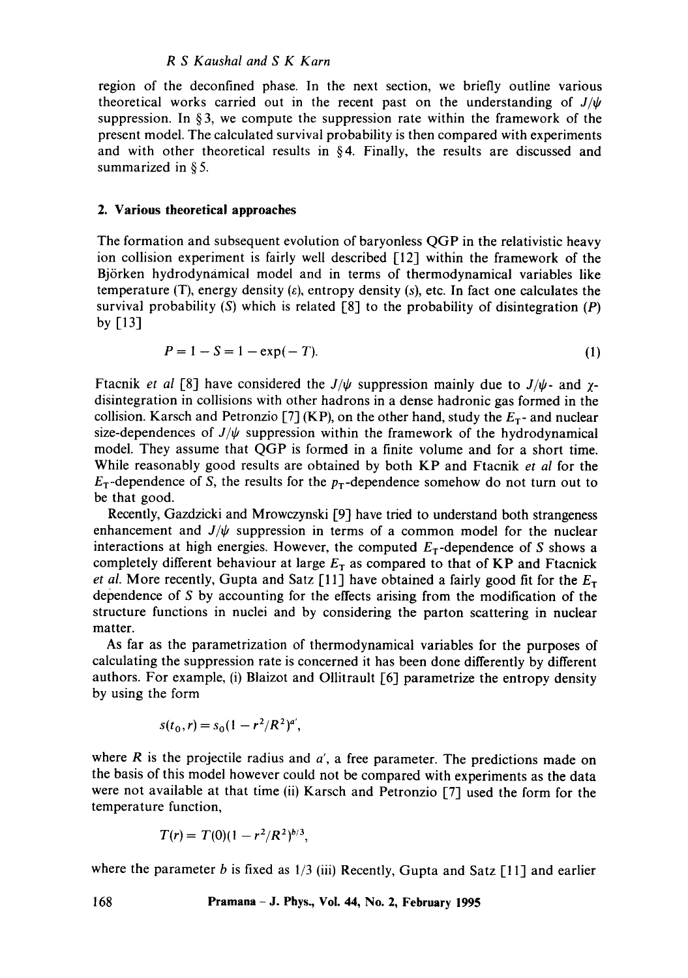#### *R S Kaushal and S K Karn*

region of the deconfined phase. In the next section, we briefly outline various theoretical works carried out in the recent past on the understanding of  $J/\psi$ suppression. In §3, we compute the suppression rate within the framework of the present model. The calculated survival probability is then compared with experiments and with other theoretical results in  $\S 4$ . Finally, the results are discussed and summarized in § 5.

#### 2. Various theoretical approaches

The formation and subsequent evolution of baryonless QGP in the relativistic heavy ion collision experiment is fairly well described [12] within the framework of the Björken hydrodynamical model and in terms of thermodynamical variables like temperature (T), energy density  $(\varepsilon)$ , entropy density  $(s)$ , etc. In fact one calculates the survival probability  $(S)$  which is related  $[8]$  to the probability of disintegration  $(P)$ by [13]

$$
P = 1 - S = 1 - \exp(-T). \tag{1}
$$

Ftacnik *et al* [8] have considered the  $J/\psi$  suppression mainly due to  $J/\psi$ - and  $\chi$ disintegration in collisions with other hadrons in a dense hadronic gas formed in the collision. Karsch and Petronzio [7] (KP), on the other hand, study the  $E_T$ - and nuclear size-dependences of  $J/\psi$  suppression within the framework of the hydrodynamical model. They assume that QGP is formed in a finite volume and for a short time. While reasonably good results are obtained by both KP and Ftacnik *et al* for the  $E<sub>T</sub>$ -dependence of S, the results for the  $p<sub>T</sub>$ -dependence somehow do not turn out to be that good.

Recently, Gazdzicki and Mrowczynski [9] have tried to understand both strangeness enhancement and  $J/\psi$  suppression in terms of a common model for the nuclear interactions at high energies. However, the computed  $E_T$ -dependence of S shows a completely different behaviour at large  $E_T$  as compared to that of KP and Ftacnick *et al.* More recently, Gupta and Satz [11] have obtained a fairly good fit for the  $E_T$ dependence of S by accounting for the effects arising from the modification of the structure functions in nuclei and by considering the parton scattering in nuclear matter.

As far as the parametrization of thermodynamical variables for the purposes of calculating the suppression rate is concerned it has been done differently by different authors. For example, (i) Blaizot and Ollitrault  $[6]$  parametrize the entropy density by using the form

$$
s(t_0,r) = s_0(1 - r^2/R^2)^{a'},
$$

where  $R$  is the projectile radius and  $a'$ , a free parameter. The predictions made on the basis of this model however could not be compared with experiments as the data were not available at that time (ii) Karsch and Petronzio [7] used the form for the temperature function,

$$
T(r) = T(0)(1 - r^2/R^2)^{b/3},
$$

where the parameter b is fixed as  $1/3$  (iii) Recently, Gupta and Satz [11] and earlier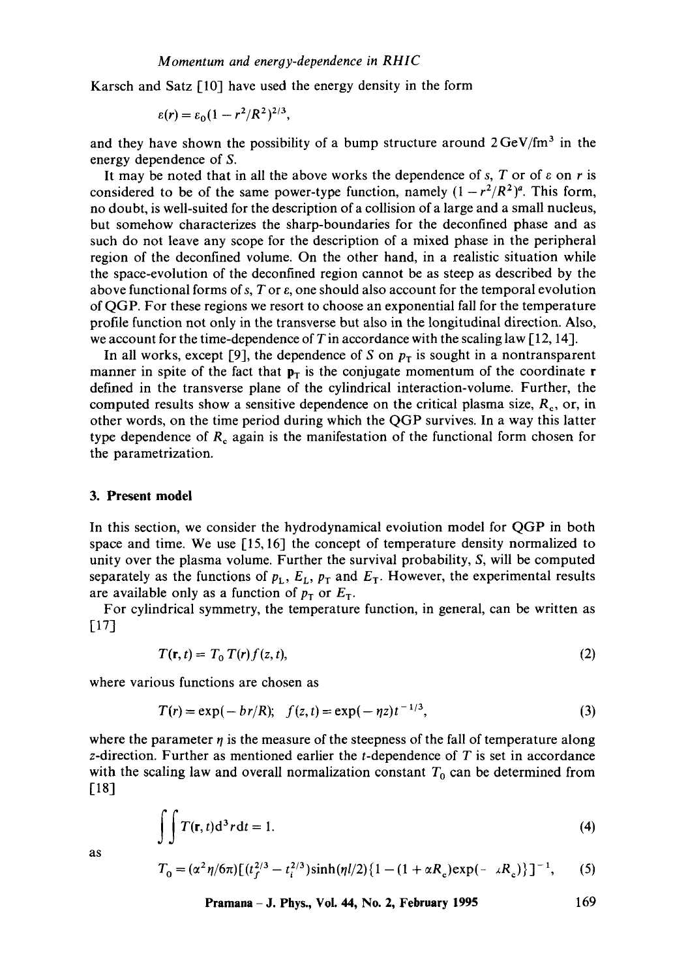Karsch and Satz [10] have used the energy density in the form

$$
\varepsilon(r) = \varepsilon_0 (1 - r^2/R^2)^{2/3}
$$

and they have shown the possibility of a bump structure around  $2 \text{GeV}/\text{fm}^3$  in the energy dependence of S.

It may be noted that in all the above works the dependence of s, T or of  $\varepsilon$  on r is considered to be of the same power-type function, namely  $(1 - r^2/R^2)^a$ . This form, no doubt, is well-suited for the description of a collision of a large and a small nucleus, but somehow characterizes the sharp-boundaries for the deconfined phase and as such do not leave any scope for the description of a mixed phase in the peripheral region of the deconfined volume. On the other hand, in a realistic situation while the space-evolution of the deconfined region cannot be as steep as described by the above functional forms of s, T or  $\varepsilon$ , one should also account for the temporal evolution of QGP. For these regions we resort to choose an exponential fall for the temperature profile function not only in the transverse but also in the longitudinal direction. Also, we account for the time-dependence of T in accordance with the scaling law  $[12, 14]$ .

In all works, except [9], the dependence of S on  $p<sub>T</sub>$  is sought in a nontransparent manner in spite of the fact that  $p<sub>T</sub>$  is the conjugate momentum of the coordinate r defined in the transverse plane of the cylindrical interaction-volume. Further, the computed results show a sensitive dependence on the critical plasma size,  $R_c$ , or, in other words, on the time period during which the QGP survives. In a way this latter type dependence of  $R_c$  again is the manifestation of the functional form chosen for the parametrization.

#### **3. Present model**

In this section, we consider the hydrodynamical evolution model for QGP in both space and time. We use [15, 16] the concept of temperature density normalized to unity over the plasma volume. Further the survival probability, S, will be computed separately as the functions of  $p_L$ ,  $E_L$ ,  $p_T$  and  $E_T$ . However, the experimental results are available only as a function of  $p_T$  or  $E_T$ .

For cylindrical symmetry, the temperature function, in general, can be written as [17]

$$
T(\mathbf{r},t) = T_0 T(r) f(z,t),
$$
\n(2)

where various functions are chosen as

$$
T(r) = \exp(-b r/R); \quad f(z, t) = \exp(-\eta z)t^{-1/3}, \tag{3}
$$

where the parameter  $\eta$  is the measure of the steepness of the fall of temperature along z-direction. Further as mentioned earlier the t-dependence of  $T$  is set in accordance with the scaling law and overall normalization constant  $T_0$  can be determined from [18]

$$
\iint T(\mathbf{r},t)\mathrm{d}^3r\mathrm{d}t=1.
$$
 (4)

as

$$
T_0 = (\alpha^2 \eta / 6\pi) \left[ (t_f^{2/3} - t_i^{2/3}) \sinh(\eta l/2) \{1 - (1 + \alpha R_c) \exp(-\alpha R_c) \} \right]^{-1},
$$
 (5)

$$
Pramana – J. Phys., Vol. 44, No. 2, February 1995 169
$$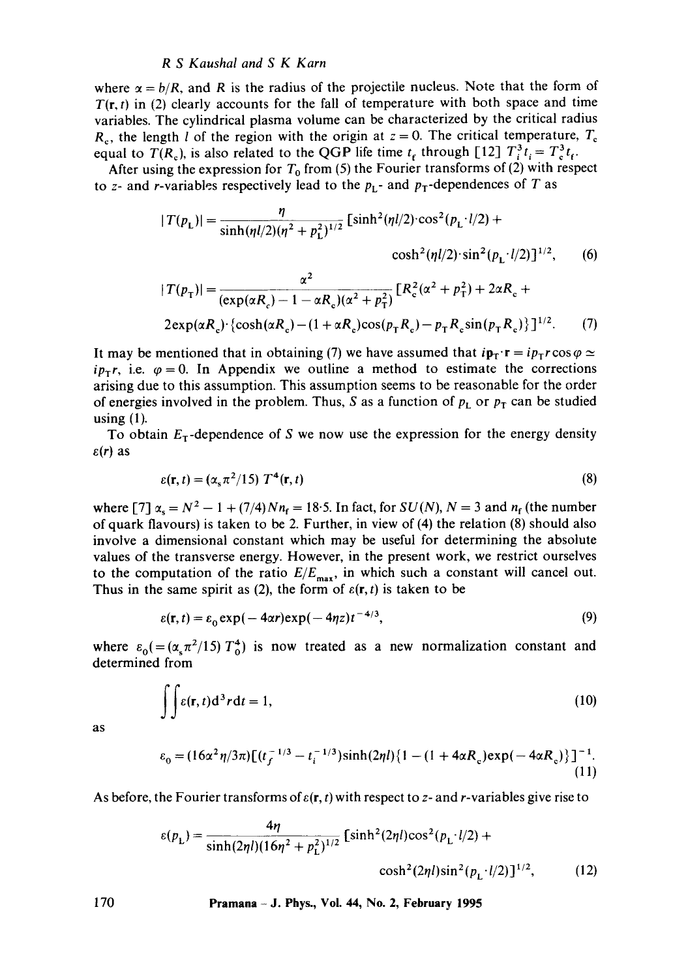## *R S Kaushal and S K Karn*

where  $\alpha = b/R$ , and R is the radius of the projectile nucleus. Note that the form of  $T(r, t)$  in (2) clearly accounts for the fall of temperature with both space and time variables. The cylindrical plasma volume can be characterized by the critical radius  $R_c$ , the length l of the region with the origin at  $z = 0$ . The critical temperature,  $T_c$ equal to  $T(R_c)$ , is also related to the QGP life time  $t_f$  through [12]  $T_i^3 t_i = T_c^3 t_f$ .

After using the expression for  $T_0$  from (5) the Fourier transforms of (2) with respect to z- and r-variables respectively lead to the  $p_L$ - and  $p_T$ -dependences of T as

$$
|T(p_{\rm L})| = \frac{\eta}{\sinh(\eta l/2)(\eta^2 + p_{\rm L}^2)^{1/2}} \left[ \sinh^2(\eta l/2) \cdot \cos^2(p_{\rm L} \cdot l/2) + \cosh^2(\eta l/2) \cdot \sin^2(p_{\rm L} \cdot l/2) \right]^{1/2},\tag{6}
$$

$$
|T(p_{\text{T}})| = \frac{\alpha^2}{(\exp(\alpha R_c) - 1 - \alpha R_c)(\alpha^2 + p_{\text{T}}^2)} [R_c^2(\alpha^2 + p_{\text{T}}^2) + 2\alpha R_c +
$$

$$
2\exp(\alpha R_c) \cdot {\cosh(\alpha R_c) - (1 + \alpha R_c)\cos(p_{\rm T} R_c) - p_{\rm T} R_c \sin(p_{\rm T} R_c)} \}^{1/2}.
$$
 (7)

It may be mentioned that in obtaining (7) we have assumed that  $i\mathbf{p}_\mathbf{I} \cdot \mathbf{r} = i p_\mathbf{I} r \cos \varphi \simeq$  $ip_{\tau}r$ , i.e.  $\varphi=0$ . In Appendix we outline a method to estimate the corrections arising due to this assumption. This assumption seems to be reasonable for the order of energies involved in the problem. Thus, S as a function of  $p_L$  or  $p_T$  can be studied using  $(1)$ .

To obtain  $E<sub>T</sub>$ -dependence of S we now use the expression for the energy density  $\varepsilon(r)$  as

$$
\varepsilon(\mathbf{r},t) = (\alpha_s \pi^2/15) \; T^4(\mathbf{r},t) \tag{8}
$$

where  $[7] \alpha_s = N^2 - 1 + (7/4)Nn_f = 18.5$ . In fact, for  $SU(N)$ ,  $N = 3$  and  $n_f$  (the number of quark flavours) is taken to be 2. Further, in view of (4) the relation (8) should also involve a dimensional constant which may be useful for determining the absolute values of the transverse energy. However, in the present work, we restrict ourselves to the computation of the ratio  $E/E_{\text{max}}$ , in which such a constant will cancel out. Thus in the same spirit as (2), the form of  $\varepsilon(\mathbf{r}, t)$  is taken to be

$$
\varepsilon(\mathbf{r},t) = \varepsilon_0 \exp(-4\alpha r) \exp(-4\eta z) t^{-4/3},\tag{9}
$$

where  $\varepsilon_0 = (\alpha_s \pi^2/15) T_0^4$  is now treated as a new normalization constant and determined from

$$
\iint \varepsilon(\mathbf{r},t) \mathrm{d}^3 r \mathrm{d}t = 1,\tag{10}
$$

as

$$
\varepsilon_0 = (16\alpha^2 \eta/3\pi) \left[ (t_f^{-1/3} - t_i^{-1/3}) \sinh(2\eta l) \{1 - (1 + 4\alpha R_c) \exp(-4\alpha R_c) \} \right]^{-1}.
$$
\n(11)

As before, the Fourier transforms of  $\varepsilon(\mathbf{r}, t)$  with respect to z- and r-variables give rise to

$$
\varepsilon(p_{\rm L}) = \frac{4\eta}{\sinh(2\eta l)(16\eta^2 + p_{\rm L}^2)^{1/2}} \left[ \sinh^2(2\eta l)\cos^2(p_{\rm L} \cdot l/2) + \cosh^2(2\eta l)\sin^2(p_{\rm L} \cdot l/2) \right]^{1/2},\tag{12}
$$

**170 Pramana -J. Phys., Vol. 44, No. 2, February 1995**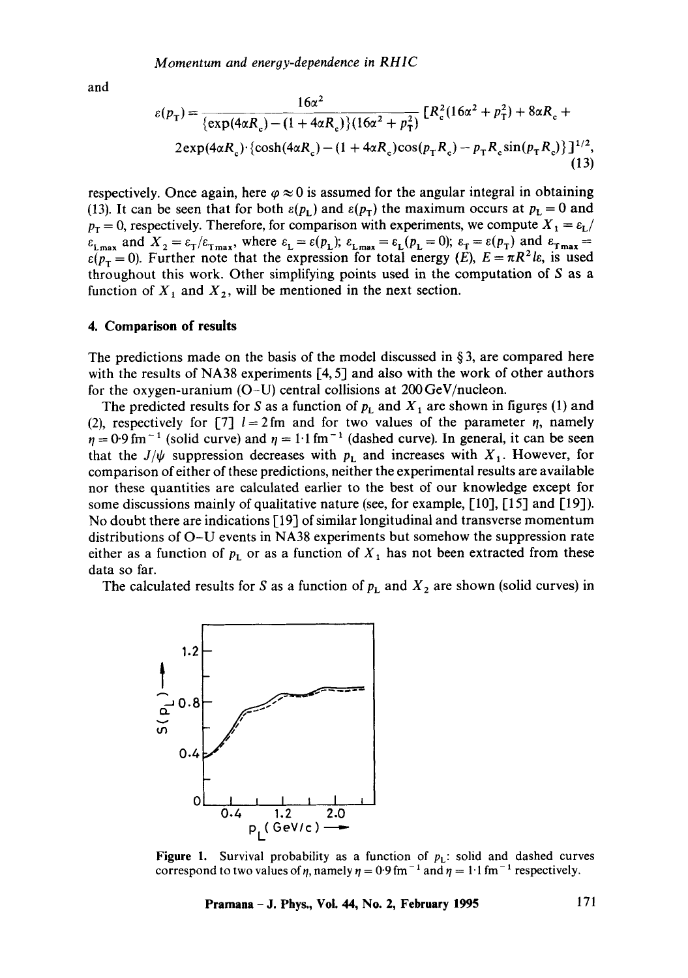and

$$
\varepsilon(p_{\rm T}) = \frac{16\alpha^2}{\{\exp(4\alpha R_{\rm c}) - (1 + 4\alpha R_{\rm c})\}(16\alpha^2 + p_{\rm T}^2)} \left[R_{\rm c}^2(16\alpha^2 + p_{\rm T}^2) + 8\alpha R_{\rm c} + 2\exp(4\alpha R_{\rm c}) \cdot \left\{\cosh(4\alpha R_{\rm c}) - (1 + 4\alpha R_{\rm c})\cos(p_{\rm T}R_{\rm c}) - p_{\rm T}R_{\rm c}\sin(p_{\rm T}R_{\rm c})\right\}\right]^{1/2},\tag{13}
$$

respectively. Once again, here  $\varphi \approx 0$  is assumed for the angular integral in obtaining (13). It can be seen that for both  $\varepsilon(p_{\rm L})$  and  $\varepsilon(p_{\rm T})$  the maximum occurs at  $p_{\rm L} = 0$  and  $p_T = 0$ , respectively. Therefore, for comparison with experiments, we compute  $X_1 = \varepsilon_L$ /  $\varepsilon_{\text{L,max}}$  and  $X_2 = \varepsilon_{\text{T}}/\varepsilon_{\text{T,max}}$ , where  $\varepsilon_{\text{L}} = \varepsilon(p_{\text{L}})$ ;  $\varepsilon_{\text{L,max}} = \varepsilon_{\text{L}}(p_{\text{L}} = 0)$ ;  $\varepsilon_{\text{T}} = \varepsilon(p_{\text{T}})$  and  $\varepsilon_{\text{T,max}} =$  $\varepsilon(p_{\tau} = 0)$ . Further note that the expression for total energy (E),  $E = \pi R^2 l \varepsilon$ , is used throughout this work. Other simplifying points used in the computation of  $S$  as a function of  $X_1$  and  $X_2$ , will be mentioned in the next section.

#### **4. Comparison of results**

The predictions made on the basis of the model discussed in  $\S 3$ , are compared here with the results of NA38 experiments [4, 5] and also with the work of other authors for the oxygen-uranium (O-U) central collisions at 200 GeV/nucleon.

The predicted results for S as a function of  $p_L$  and  $X_1$  are shown in figures (1) and (2), respectively for [7]  $l=2$  fm and for two values of the parameter  $\eta$ , namely  $\eta = 0.9$  fm<sup>-1</sup> (solid curve) and  $\eta = 1.1$  fm<sup>-1</sup> (dashed curve). In general, it can be seen that the  $J/\psi$  suppression decreases with  $p_1$  and increases with  $X_1$ . However, for comparison of either of these predictions, neither the experimental results are available nor these quantities are calculated earlier to the best of our knowledge except for some discussions mainly of qualitative nature (see, for example, [10], [15] and [19]). No doubt there are indications [ 19] of similar longitudinal and transverse momentum distributions of O-U events in NA38 experiments but somehow the suppression rate either as a function of  $p_L$  or as a function of  $X_1$  has not been extracted from these data so far.

The calculated results for S as a function of  $p<sub>L</sub>$  and  $X<sub>2</sub>$  are shown (solid curves) in



**Figure 1.** Survival probability as a function of  $p<sub>L</sub>$ : solid and dashed curves correspond to two values of  $\eta$ , namely  $\eta = 0.9$  fm<sup>-1</sup> and  $\eta = 1.1$  fm<sup>-1</sup> respectively.

**Pramana - J. Phys., Vol. 44, No. 2, February 1995** 171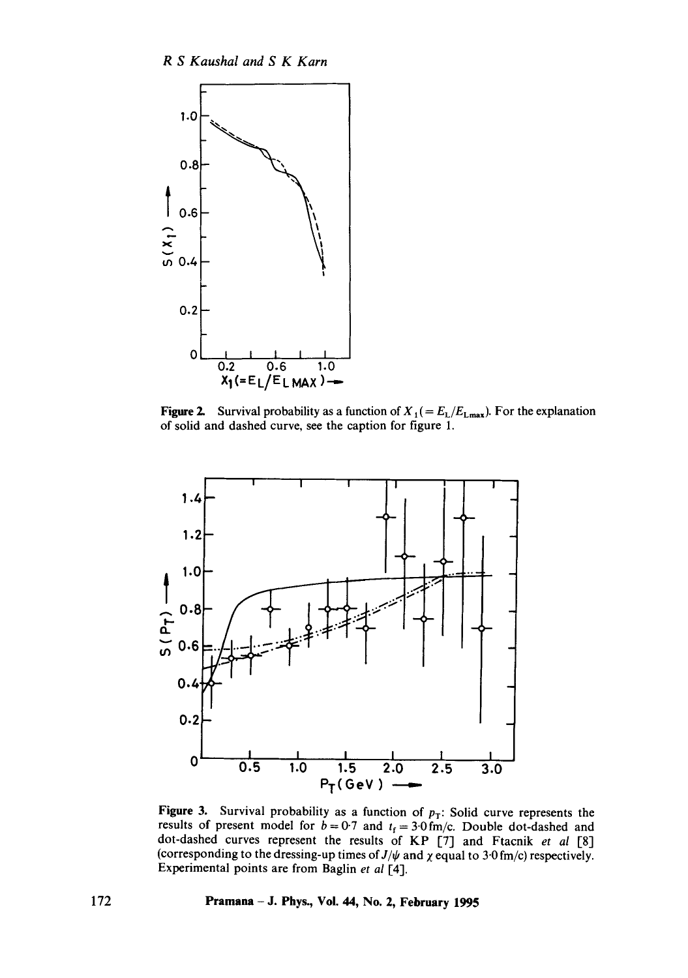

Figure 2. Survival probability as a function of  $X_1 (= E_L/E_{Lmax})$ . For the explanation of solid and dashed curve, see the caption for figure 1.



Figure 3. Survival probability as a function of  $p_T$ : Solid curve represents the results of present model for  $b = 0.7$  and  $t_f = 3.0$  fm/c. Double dot-dashed and dot-dashed curves represent the results of KP [7] and Ftacnik *et al* [8] (corresponding to the dressing-up times of  $J/\psi$  and  $\chi$  equal to 3.0 fm/c) respectively. Experimental points are from Baglin et al [4].

**172 Pramana- J. Phys., Vol. 44, No. 2, February 1995**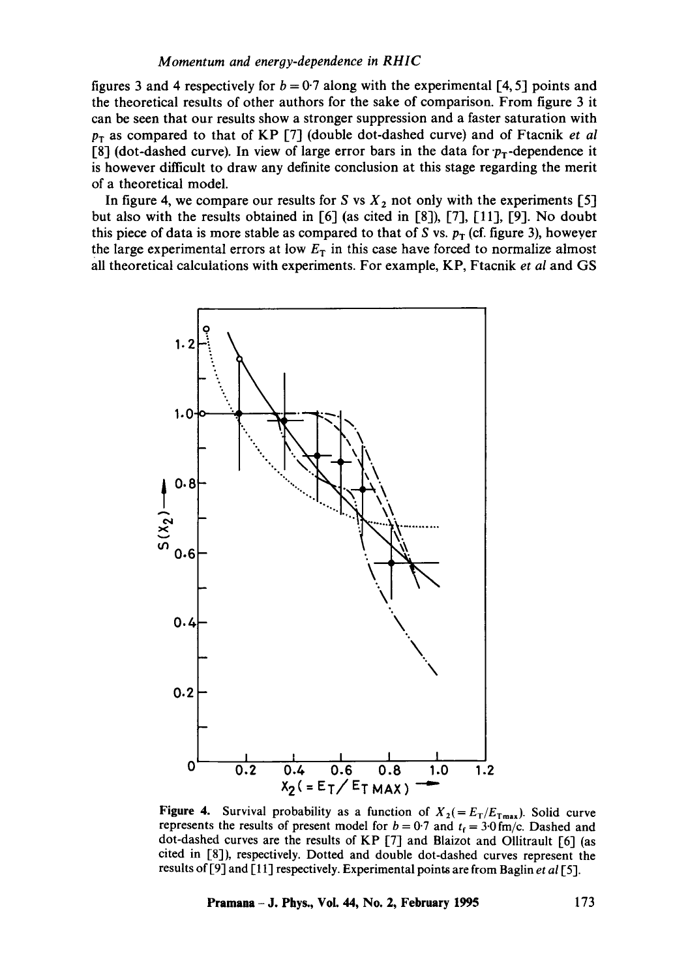#### *Momentum and energy-dependence in RHIC*

figures 3 and 4 respectively for  $b = 0.7$  along with the experimental [4, 5] points and the theoretical results of other authors for the sake of comparison. From figure 3 it can be seen that our results show a stronger suppression and a faster saturation with  $p_T$  as compared to that of KP [7] (double dot-dashed curve) and of Ftacnik *et al* [8] (dot-dashed curve). In view of large error bars in the data for  $p_T$ -dependence it is however difficult to draw any definite conclusion at this stage regarding the merit of a theoretical model.

In figure 4, we compare our results for S vs  $X_2$  not only with the experiments [5] but also with the results obtained in [6] (as cited in [8]), [7], [11], [9]. No doubt this piece of data is more stable as compared to that of S vs.  $p_T$  (cf. figure 3), howeyer the large experimental errors at low  $E<sub>T</sub>$  in this case have forced to normalize almost all theoretical calculations with experiments. For example, KP, Ftacnik *et al* and GS



**Figure 4.** Survival probability as a function of  $X_2 (= E_T/E_{Tmax})$ . Solid curve represents the results of present model for  $b = 0.7$  and  $t_f = 3.0$  fm/c. Dashed and dot-dashed curves are the results of KP [7] and Blaizot and Ollitrault [6] (as cited in [8]), respectively. Dotted and double dot-dashed curves represent the results of [9] and [11] respectively. Experimental points are from Baglin *et al* [5].

**Pramana - J. Phys., Vol. 44, No. 2, February 1995 173**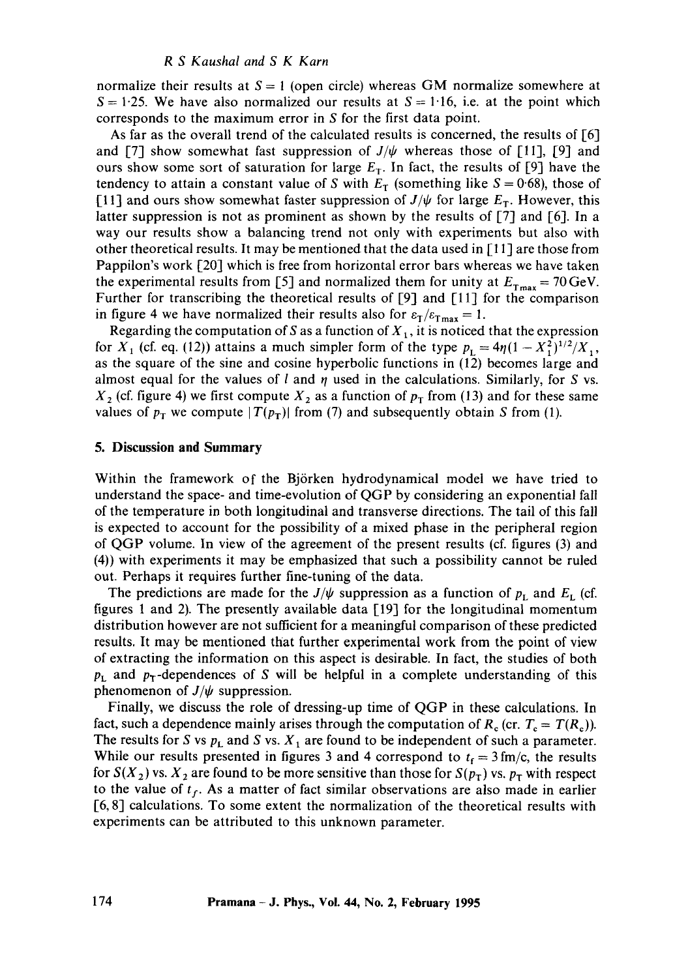#### *R S Kaushal and S K Karn*

normalize their results at  $S = 1$  (open circle) whereas GM normalize somewhere at  $S = 1.25$ . We have also normalized our results at  $S = 1.16$ , i.e. at the point which corresponds to the maximum error in S for the first data point.

As far as the overall trend of the calculated results is concerned, the results of  $[6]$ and [7] show somewhat fast suppression of  $J/\psi$  whereas those of [11], [9] and ours show some sort of saturation for large  $E<sub>T</sub>$ . In fact, the results of [9] have the tendency to attain a constant value of S with  $E_T$  (something like  $S = 0.68$ ), those of [11] and ours show somewhat faster suppression of  $J/\psi$  for large  $E_T$ . However, this latter suppression is not as prominent as shown by the results of [7] and [6]. In a way our results show a balancing trend not only with experiments but also with other theoretical results. It may be mentioned that the data used in  $[11]$  are those from Pappilon's work [20] which is free from horizontal error bars whereas we have taken the experimental results from [5] and normalized them for unity at  $E_{\text{Tmax}} = 70 \,\text{GeV}$ . Further for transcribing the theoretical results of [9] and [11] for the comparison in figure 4 we have normalized their results also for  $\varepsilon_T/\varepsilon_{Tmax} = 1$ .

Regarding the computation of S as a function of  $X_1$ , it is noticed that the expression for  $X_1$  (cf. eq. (12)) attains a much simpler form of the type  $p_1 = 4\eta(1 - X_1^2)^{1/2}/X_1$ , as the square of the sine and cosine hyperbolic functions in (12) becomes large and almost equal for the values of l and  $\eta$  used in the calculations. Similarly, for S vs.  $X_2$  (cf. figure 4) we first compute  $X_2$  as a function of  $p_T$  from (13) and for these same values of  $p_T$  we compute  $|T(p_T)|$  from (7) and subsequently obtain S from (1).

#### **5. Discussion and Summary**

Within the framework of the Bj6rken hydrodynamical model we have tried to understand the space- and time-evolution of QGP by considering an exponential fall of the temperature in both longitudinal and transverse directions. The tail of this fall is expected to account for the possibility of a mixed phase in the peripheral region of QGP volume. In view of the agreement of the present results (cf. figures (3) and (4)) with experiments it may be emphasized that such a possibility cannot be ruled out. Perhaps it requires further fine-tuning of the data.

The predictions are made for the  $J/\psi$  suppression as a function of  $p_L$  and  $E_L$  (cf. figures 1 and 2). The presently available data [19] for the longitudinal momentum distribution however are not sufficient for a meaningful comparison of these predicted results. It may be mentioned that further experimental work from the point of view of extracting the information on this aspect is desirable. In fact, the studies of both  $p_L$  and  $p_T$ -dependences of S will be helpful in a complete understanding of this phenomenon of  $J/\psi$  suppression.

Finally, we discuss the role of dressing-up time of QGP in these calculations. In fact, such a dependence mainly arises through the computation of  $R_c$  (cr.  $T_c = T(R_c)$ ). The results for S vs  $p_L$  and S vs.  $X_1$  are found to be independent of such a parameter. While our results presented in figures 3 and 4 correspond to  $t_f = 3$  fm/c, the results for  $S(X_2)$  vs.  $X_2$  are found to be more sensitive than those for  $S(p_T)$  vs.  $p_T$  with respect to the value of  $t_f$ . As a matter of fact similar observations are also made in earlier [6, 8] calculations. To some extent the normalization of the theoretical results with experiments can be attributed to this unknown parameter.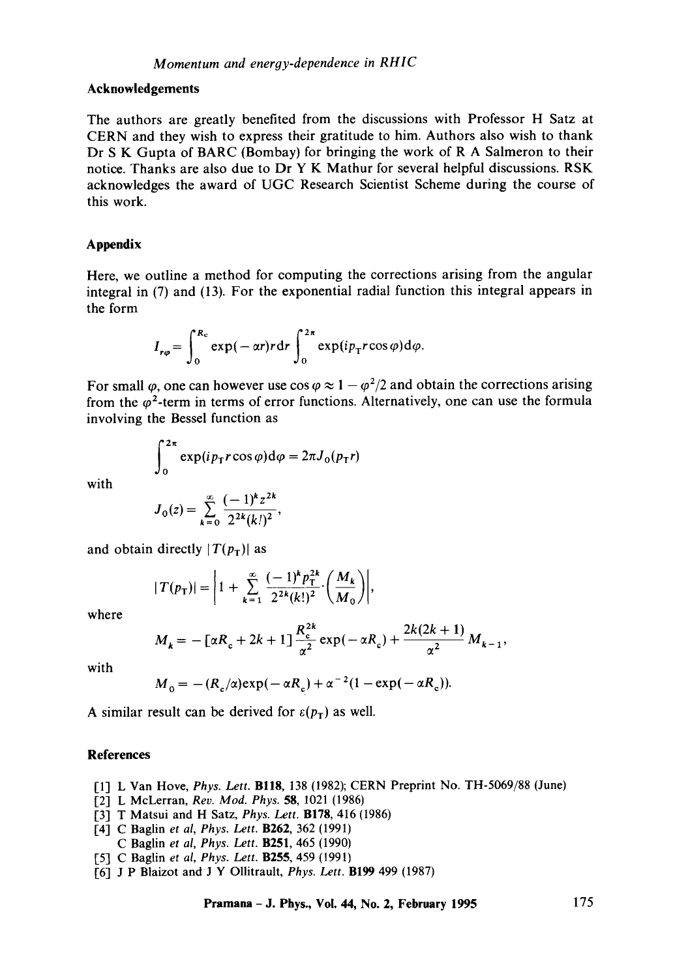#### **Acknowledgements**

The authors are greatly benefited from the discussions with Professor H Satz at CERN and they wish to express their gratitude to him. Authors also wish to thank Dr S K Gupta of BARC (Bombay) for bringing the work of R A Salmeron to their notice. Thanks are also due to Dr Y K Mathur for several helpful discussions. RSK acknowledges the award of UGC Research Scientist Scheme during the course of this work.

## **Appendix**

Here, we outline a method for computing the corrections arising from the angular integral in (7) and (13). For the exponential radial function this integral appears in the form

$$
I_{r\varphi} = \int_0^{R_c} \exp(-\alpha r) r dr \int_0^{2\pi} \exp(i p_\text{T} r \cos \varphi) d\varphi.
$$

For small  $\varphi$ , one can however use cos  $\varphi \approx 1 - \varphi^2/2$  and obtain the corrections arising from the  $\varphi^2$ -term in terms of error functions. Alternatively, one can use the formula involving the Bessel function as

$$
\int_0^{2\pi} \exp(ip_\text{T}r\cos\varphi)\,\mathrm{d}\varphi = 2\pi J_0(p_\text{T}r)
$$

with

$$
J_0(z) = \sum_{k=0}^{\infty} \frac{(-1)^k z^{2k}}{2^{2k} (k!)^2},
$$

and obtain directly  $|T(p_T)|$  as

$$
|T(p_{\text{T}})| = \left| 1 + \sum_{k=1}^{\infty} \frac{(-1)^k p_{\text{T}}^{2k}}{2^{2k} (k!)^2} \cdot \left( \frac{M_k}{M_0} \right) \right|,
$$

where

$$
M_{k} = -[\alpha R_{c} + 2k + 1] \frac{R_{c}^{2k}}{\alpha^{2}} \exp(-\alpha R_{c}) + \frac{2k(2k+1)}{\alpha^{2}} M_{k-1},
$$

with

$$
M_0 = -(R_c/\alpha) \exp(-\alpha R_c) + \alpha^{-2} (1 - \exp(-\alpha R_c)).
$$

A similar result can be derived for  $\varepsilon(p_T)$  as well.

## **References**

- [1] L Van Hove, *Phys. Lett.* BllS, 138 (1982); CERN Preprint No. TH-5069/88 (June)
- [2] L McLerran, *Rev. Mod. Phys.* 58, 1021 (1986)
- [3] T Matsui and H Satz, *Phys. Lett.* B178, 416 (1986)
- [4] C Baglin *et al, Phys. Lett.* B262, 362 (1991)
- C Baglin *et al, Phys. Lett.* B251, 465 (1990)
- [5] C Baglin *et al, Phys. Lett.* **B255**, 459 (1991)
- 1-6] J P Blaizot and J Y Ollitrault, *Phys. Lett.* B199 499 (1987)